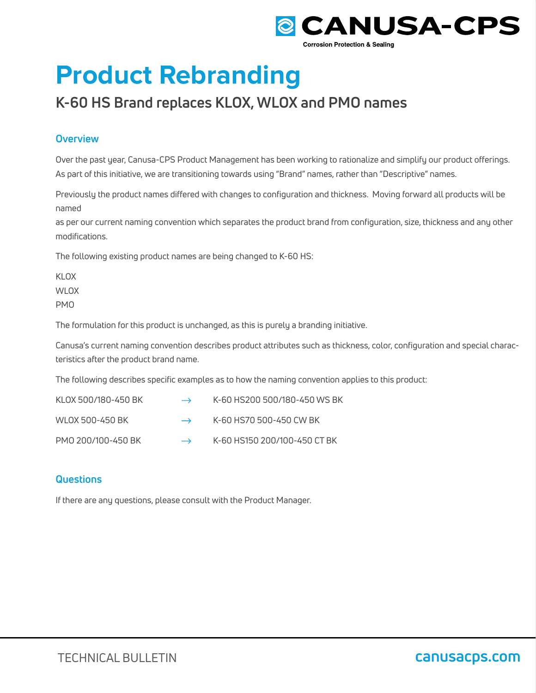

# **Product Rebranding**

# **K-60 HS Brand replaces KLOX, WLOX and PMO names**

### **Overview**

Over the past year, Canusa-CPS Product Management has been working to rationalize and simplify our product offerings. As part of this initiative, we are transitioning towards using "Brand" names, rather than "Descriptive" names.

Previously the product names differed with changes to configuration and thickness. Moving forward all products will be named

as per our current naming convention which separates the product brand from configuration, size, thickness and any other modifications.

The following existing product names are being changed to K-60 HS:

KLOX WLOX PMO

The formulation for this product is unchanged, as this is purely a branding initiative.

Canusa's current naming convention describes product attributes such as thickness, color, configuration and special characteristics after the product brand name.

The following describes specific examples as to how the naming convention applies to this product:

| KLOX 500/180-450 BK | $\rightarrow$     | K-60 HS200 500/180-450 WS BK |
|---------------------|-------------------|------------------------------|
| WLOX 500-450 BK     | $\longrightarrow$ | K-60 HS70 500-450 CW BK      |
| PMO 200/100-450 BK  | $\longrightarrow$ | K-60 HS150 200/100-450 CT BK |

## **Questions**

If there are any questions, please consult with the Product Manager.